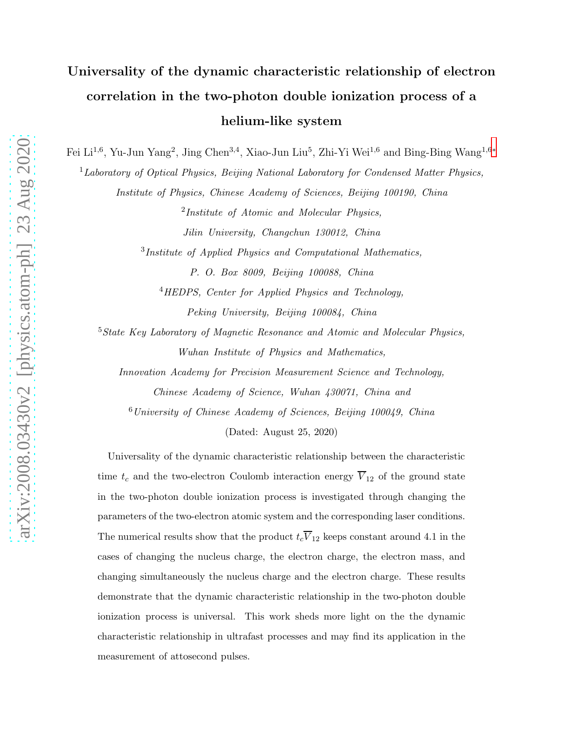## Universality of the dynamic characteristic relationship of electron correlation in the two-photon double ionization process of a helium-like system

Fei Li<sup>1,6</sup>, Yu-Jun Yang<sup>2</sup>, Jing Chen<sup>3,4</sup>, Xiao-Jun Liu<sup>5</sup>, Zhi-Yi Wei<sup>1,6</sup> and Bing-Bing Wang<sup>1,6\*</sup>

 ${}^{1}$ Laboratory of Optical Physics, Beijing National Laboratory for Condensed Matter Physics,

Institute of Physics, Chinese Academy of Sciences, Beijing 100190, China

<sup>2</sup>Institute of Atomic and Molecular Physics, Jilin University, Changchun 130012, China

<sup>3</sup>Institute of Applied Physics and Computational Mathematics,

P. O. Box 8009, Beijing 100088, China <sup>4</sup>HEDPS, Center for Applied Physics and Technology, Peking University, Beijing 100084, China

<sup>5</sup>State Key Laboratory of Magnetic Resonance and Atomic and Molecular Physics, Wuhan Institute of Physics and Mathematics,

Innovation Academy for Precision Measurement Science and Technology, Chinese Academy of Science, Wuhan 430071, China and

<sup>6</sup>University of Chinese Academy of Sciences, Beijing 100049, China

(Dated: August 25, 2020)

Universality of the dynamic characteristic relationship between the characteristic time  $t_c$  and the two-electron Coulomb interaction energy  $\overline{V}_{12}$  of the ground state in the two-photon double ionization process is investigated through changing the parameters of the two-electron atomic system and the corresponding laser conditions. The numerical results show that the product  $t_c\overline{V}_{12}$  keeps constant around 4.1 in the cases of changing the nucleus charge, the electron charge, the electron mass, and changing simultaneously the nucleus charge and the electron charge. These results demonstrate that the dynamic characteristic relationship in the two-photon double ionization process is universal. This work sheds more light on the the dynamic characteristic relationship in ultrafast processes and may find its application in the measurement of attosecond pulses.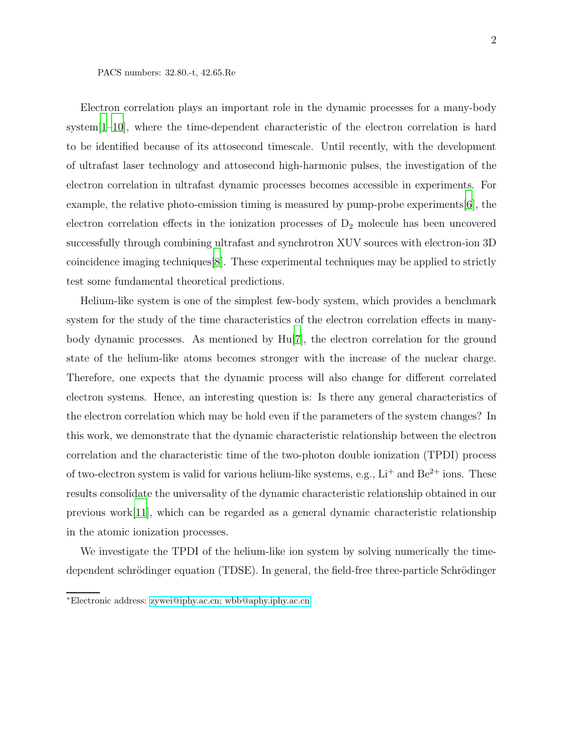Electron correlation plays an important role in the dynamic processes for a many-body system[\[1](#page-7-0)[–10\]](#page-8-0), where the time-dependent characteristic of the electron correlation is hard to be identified because of its attosecond timescale. Until recently, with the development of ultrafast laser technology and attosecond high-harmonic pulses, the investigation of the electron correlation in ultrafast dynamic processes becomes accessible in experiments. For example, the relative photo-emission timing is measured by pump-probe experiments[\[6](#page-7-1)], the electron correlation effects in the ionization processes of  $D_2$  molecule has been uncovered successfully through combining ultrafast and synchrotron XUV sources with electron-ion 3D coincidence imaging techniques[\[8](#page-7-2)]. These experimental techniques may be applied to strictly test some fundamental theoretical predictions.

Helium-like system is one of the simplest few-body system, which provides a benchmark system for the study of the time characteristics of the electron correlation effects in manybody dynamic processes. As mentioned by Hu[\[7\]](#page-7-3), the electron correlation for the ground state of the helium-like atoms becomes stronger with the increase of the nuclear charge. Therefore, one expects that the dynamic process will also change for different correlated electron systems. Hence, an interesting question is: Is there any general characteristics of the electron correlation which may be hold even if the parameters of the system changes? In this work, we demonstrate that the dynamic characteristic relationship between the electron correlation and the characteristic time of the two-photon double ionization (TPDI) process of two-electron system is valid for various helium-like systems, e.g.,  $Li^+$  and  $Be^{2+}$  ions. These results consolidate the universality of the dynamic characteristic relationship obtained in our previous work[\[11\]](#page-8-1), which can be regarded as a general dynamic characteristic relationship in the atomic ionization processes.

We investigate the TPDI of the helium-like ion system by solving numerically the timedependent schrödinger equation (TDSE). In general, the field-free three-particle Schrödinger

<span id="page-1-0"></span><sup>∗</sup>Electronic address: [zywei@iphy.ac.cn; wbb@aphy.iphy.ac.cn](mailto:zywei@iphy.ac.cn; wbb@aphy.iphy.ac.cn)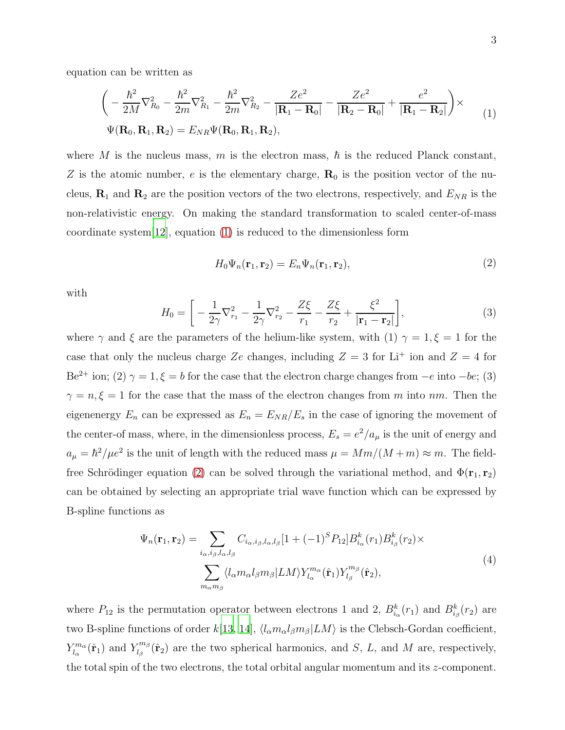<span id="page-2-0"></span>
$$
\left(-\frac{\hbar^2}{2M}\nabla_{R_0}^2 - \frac{\hbar^2}{2m}\nabla_{R_1}^2 - \frac{\hbar^2}{2m}\nabla_{R_2}^2 - \frac{Ze^2}{|\mathbf{R}_1 - \mathbf{R}_0|} - \frac{Ze^2}{|\mathbf{R}_2 - \mathbf{R}_0|} + \frac{e^2}{|\mathbf{R}_1 - \mathbf{R}_2|}\right) \times
$$
  
\n
$$
\Psi(\mathbf{R}_0, \mathbf{R}_1, \mathbf{R}_2) = E_{NR}\Psi(\mathbf{R}_0, \mathbf{R}_1, \mathbf{R}_2),
$$
\n(1)

where M is the nucleus mass, m is the electron mass,  $\hbar$  is the reduced Planck constant, Z is the atomic number, e is the elementary charge,  $\mathbf{R}_0$  is the position vector of the nucleus,  $\mathbf{R}_1$  and  $\mathbf{R}_2$  are the position vectors of the two electrons, respectively, and  $E_{NR}$  is the non-relativistic energy. On making the standard transformation to scaled center-of-mass coordinate system[\[12](#page-8-2)], equation [\(1\)](#page-2-0) is reduced to the dimensionless form

<span id="page-2-1"></span>
$$
H_0\Psi_n(\mathbf{r}_1, \mathbf{r}_2) = E_n\Psi_n(\mathbf{r}_1, \mathbf{r}_2),\tag{2}
$$

with

$$
H_0 = \left[ -\frac{1}{2\gamma} \nabla_{r_1}^2 - \frac{1}{2\gamma} \nabla_{r_2}^2 - \frac{Z\xi}{r_1} - \frac{Z\xi}{r_2} + \frac{\xi^2}{|\mathbf{r}_1 - \mathbf{r}_2|} \right],\tag{3}
$$

where  $\gamma$  and  $\xi$  are the parameters of the helium-like system, with (1)  $\gamma = 1, \xi = 1$  for the case that only the nucleus charge Ze changes, including  $Z = 3$  for Li<sup>+</sup> ion and  $Z = 4$  for Be<sup>2+</sup> ion; (2)  $\gamma = 1, \xi = b$  for the case that the electron charge changes from  $-e$  into  $-be$ ; (3)  $\gamma = n, \xi = 1$  for the case that the mass of the electron changes from m into nm. Then the eigenenergy  $E_n$  can be expressed as  $E_n = E_{NR}/E_s$  in the case of ignoring the movement of the center-of mass, where, in the dimensionless process,  $E_s = e^2/a_\mu$  is the unit of energy and  $a_{\mu} = \hbar^2/\mu e^2$  is the unit of length with the reduced mass  $\mu = Mm/(M+m) \approx m$ . The field-free Schrödinger equation [\(2\)](#page-2-1) can be solved through the variational method, and  $\Phi(\mathbf{r}_1, \mathbf{r}_2)$ can be obtained by selecting an appropriate trial wave function which can be expressed by B-spline functions as

$$
\Psi_n(\mathbf{r}_1, \mathbf{r}_2) = \sum_{i_\alpha, i_\beta, l_\alpha, l_\beta} C_{i_\alpha, i_\beta, l_\alpha, l_\beta} [1 + (-1)^S P_{12}] B_{i_\alpha}^k(r_1) B_{i_\beta}^k(r_2) \times
$$
\n
$$
\sum_{m_\alpha m_\beta} \langle l_\alpha m_\alpha l_\beta m_\beta | LM \rangle Y_{l_\alpha}^{m_\alpha}(\hat{\mathbf{r}}_1) Y_{l_\beta}^{m_\beta}(\hat{\mathbf{r}}_2), \tag{4}
$$

where  $P_{12}$  is the permutation operator between electrons 1 and 2,  $B_{i_{\alpha}}^{k}(r_1)$  and  $B_{i_{\beta}}^{k}(r_2)$  are two B-spline functions of order  $k[13, 14], \langle l_{\alpha}m_{\alpha}l_{\beta}m_{\beta}|LM\rangle$  $k[13, 14], \langle l_{\alpha}m_{\alpha}l_{\beta}m_{\beta}|LM\rangle$  $k[13, 14], \langle l_{\alpha}m_{\alpha}l_{\beta}m_{\beta}|LM\rangle$  $k[13, 14], \langle l_{\alpha}m_{\alpha}l_{\beta}m_{\beta}|LM\rangle$  is the Clebsch-Gordan coefficient,  $Y_{l_{\alpha}}^{m_{\alpha}}$  $l_{\alpha}^{m_{\alpha}}(\hat{\mathbf{r}}_1)$  and  $Y_{l_{\beta}}^{m_{\beta}}$  $\int_{l_{\beta}}^{m_{\beta}} (\hat{\mathbf{r}}_2)$  are the two spherical harmonics, and S, L, and M are, respectively, the total spin of the two electrons, the total orbital angular momentum and its z-component.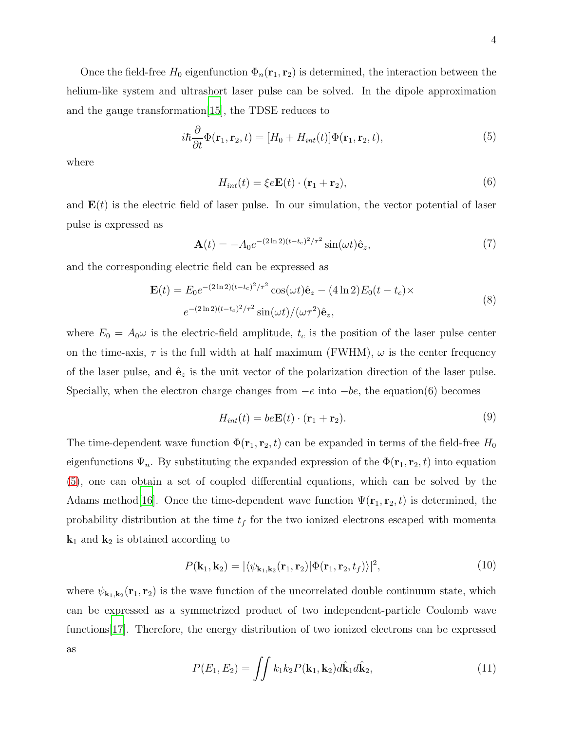Once the field-free  $H_0$  eigenfunction  $\Phi_n(\mathbf{r}_1, \mathbf{r}_2)$  is determined, the interaction between the helium-like system and ultrashort laser pulse can be solved. In the dipole approximation and the gauge transformation[\[15\]](#page-8-5), the TDSE reduces to

<span id="page-3-0"></span>
$$
i\hbar \frac{\partial}{\partial t} \Phi(\mathbf{r}_1, \mathbf{r}_2, t) = [H_0 + H_{int}(t)] \Phi(\mathbf{r}_1, \mathbf{r}_2, t), \tag{5}
$$

where

$$
H_{int}(t) = \xi e \mathbf{E}(t) \cdot (\mathbf{r}_1 + \mathbf{r}_2), \tag{6}
$$

and  $E(t)$  is the electric field of laser pulse. In our simulation, the vector potential of laser pulse is expressed as

$$
\mathbf{A}(t) = -A_0 e^{-(2 \ln 2)(t - t_c)^2 / \tau^2} \sin(\omega t) \hat{\mathbf{e}}_z, \tag{7}
$$

and the corresponding electric field can be expressed as

$$
\mathbf{E}(t) = E_0 e^{-(2\ln 2)(t - t_c)^2/\tau^2} \cos(\omega t) \hat{\mathbf{e}}_z - (4\ln 2) E_0 (t - t_c) \times
$$
  

$$
e^{-(2\ln 2)(t - t_c)^2/\tau^2} \sin(\omega t) / (\omega \tau^2) \hat{\mathbf{e}}_z,
$$
 (8)

where  $E_0 = A_0 \omega$  is the electric-field amplitude,  $t_c$  is the position of the laser pulse center on the time-axis,  $\tau$  is the full width at half maximum (FWHM),  $\omega$  is the center frequency of the laser pulse, and  $\hat{\mathbf{e}}_z$  is the unit vector of the polarization direction of the laser pulse. Specially, when the electron charge changes from  $-e$  into  $-be$ , the equation(6) becomes

$$
H_{int}(t) = be\mathbf{E}(t) \cdot (\mathbf{r}_1 + \mathbf{r}_2). \tag{9}
$$

The time-dependent wave function  $\Phi(\mathbf{r}_1, \mathbf{r}_2, t)$  can be expanded in terms of the field-free  $H_0$ eigenfunctions  $\Psi_n$ . By substituting the expanded expression of the  $\Phi(\mathbf{r}_1, \mathbf{r}_2, t)$  into equation [\(5\)](#page-3-0), one can obtain a set of coupled differential equations, which can be solved by the Adams method[\[16](#page-8-6)]. Once the time-dependent wave function  $\Psi(\mathbf{r}_1, \mathbf{r}_2, t)$  is determined, the probability distribution at the time  $t_f$  for the two ionized electrons escaped with momenta  $\mathbf{k}_1$  and  $\mathbf{k}_2$  is obtained according to

$$
P(\mathbf{k}_1, \mathbf{k}_2) = |\langle \psi_{\mathbf{k}_1, \mathbf{k}_2}(\mathbf{r}_1, \mathbf{r}_2) | \Phi(\mathbf{r}_1, \mathbf{r}_2, t_f) \rangle|^2, \tag{10}
$$

where  $\psi_{\mathbf{k}_1,\mathbf{k}_2}(\mathbf{r}_1,\mathbf{r}_2)$  is the wave function of the uncorrelated double continuum state, which can be expressed as a symmetrized product of two independent-particle Coulomb wave functions[\[17](#page-8-7)]. Therefore, the energy distribution of two ionized electrons can be expressed as

$$
P(E_1, E_2) = \iint k_1 k_2 P(\mathbf{k}_1, \mathbf{k}_2) d\hat{\mathbf{k}}_1 d\hat{\mathbf{k}}_2,
$$
\n(11)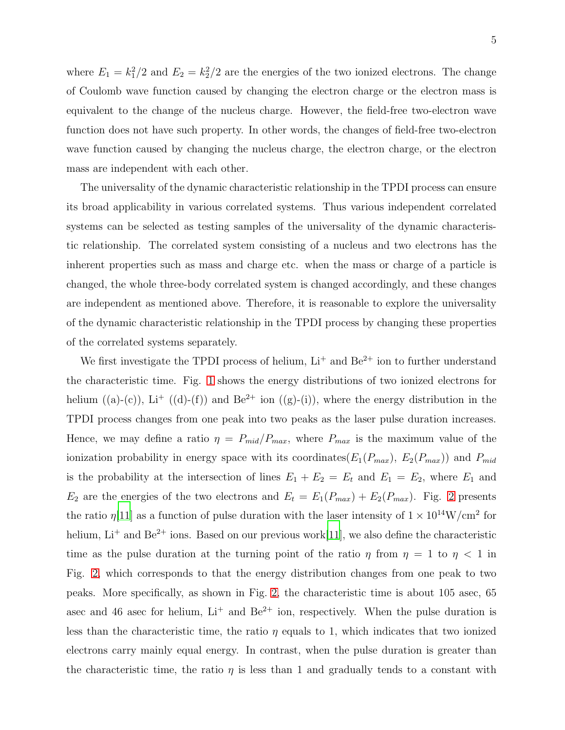where  $E_1 = k_1^2/2$  and  $E_2 = k_2^2/2$  are the energies of the two ionized electrons. The change of Coulomb wave function caused by changing the electron charge or the electron mass is equivalent to the change of the nucleus charge. However, the field-free two-electron wave function does not have such property. In other words, the changes of field-free two-electron wave function caused by changing the nucleus charge, the electron charge, or the electron mass are independent with each other.

The universality of the dynamic characteristic relationship in the TPDI process can ensure its broad applicability in various correlated systems. Thus various independent correlated systems can be selected as testing samples of the universality of the dynamic characteristic relationship. The correlated system consisting of a nucleus and two electrons has the inherent properties such as mass and charge etc. when the mass or charge of a particle is changed, the whole three-body correlated system is changed accordingly, and these changes are independent as mentioned above. Therefore, it is reasonable to explore the universality of the dynamic characteristic relationship in the TPDI process by changing these properties of the correlated systems separately.

We first investigate the TPDI process of helium,  $Li^+$  and  $Be^{2+}$  ion to further understand the characteristic time. Fig. [1](#page-11-0) shows the energy distributions of two ionized electrons for helium  $((a)-(c))$ , Li<sup>+</sup>  $((d)-(f))$  and Be<sup>2+</sup> ion  $((g)-(i))$ , where the energy distribution in the TPDI process changes from one peak into two peaks as the laser pulse duration increases. Hence, we may define a ratio  $\eta = P_{mid}/P_{max}$ , where  $P_{max}$  is the maximum value of the ionization probability in energy space with its coordinates( $E_1(P_{max})$ ,  $E_2(P_{max})$ ) and  $P_{mid}$ is the probability at the intersection of lines  $E_1 + E_2 = E_t$  and  $E_1 = E_2$ , where  $E_1$  and  $E_2$  are the energies of the two electrons and  $E_t = E_1(P_{max}) + E_2(P_{max})$ . Fig. [2](#page-11-1) presents the ratio  $\eta[11]$  $\eta[11]$  as a function of pulse duration with the laser intensity of  $1 \times 10^{14}$ W/cm<sup>2</sup> for helium,  $Li<sup>+</sup>$  and  $Be<sup>2+</sup>$  ions. Based on our previous work[\[11](#page-8-1)], we also define the characteristic time as the pulse duration at the turning point of the ratio  $\eta$  from  $\eta = 1$  to  $\eta < 1$  in Fig. [2,](#page-11-1) which corresponds to that the energy distribution changes from one peak to two peaks. More specifically, as shown in Fig. [2,](#page-11-1) the characteristic time is about 105 asec, 65 asec and 46 asec for helium,  $Li^+$  and  $Be^{2+}$  ion, respectively. When the pulse duration is less than the characteristic time, the ratio  $\eta$  equals to 1, which indicates that two ionized electrons carry mainly equal energy. In contrast, when the pulse duration is greater than the characteristic time, the ratio  $\eta$  is less than 1 and gradually tends to a constant with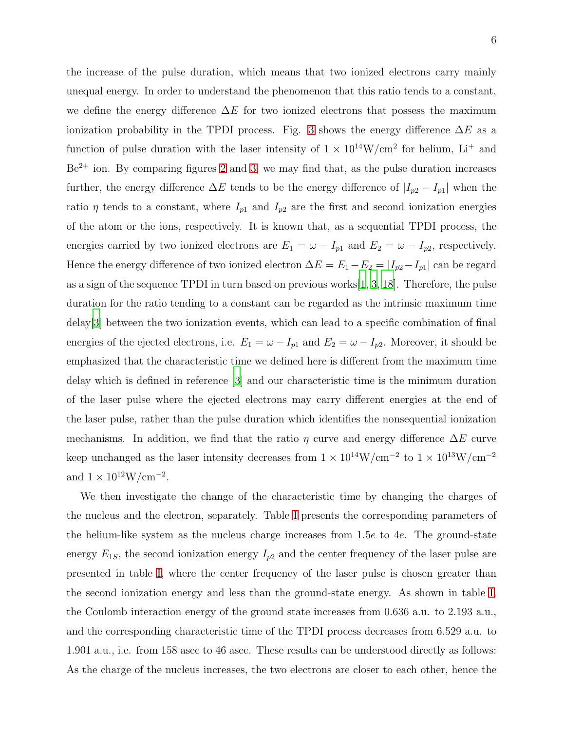the increase of the pulse duration, which means that two ionized electrons carry mainly unequal energy. In order to understand the phenomenon that this ratio tends to a constant, we define the energy difference  $\Delta E$  for two ionized electrons that possess the maximum ionization probability in the TPDI process. Fig. [3](#page-12-0) shows the energy difference  $\Delta E$  as a function of pulse duration with the laser intensity of  $1 \times 10^{14}$ W/cm<sup>2</sup> for helium, Li<sup>+</sup> and  $Be^{2+}$  ion. By comparing figures [2](#page-11-1) and [3,](#page-12-0) we may find that, as the pulse duration increases further, the energy difference  $\Delta E$  tends to be the energy difference of  $|I_{p2} - I_{p1}|$  when the ratio  $\eta$  tends to a constant, where  $I_{p1}$  and  $I_{p2}$  are the first and second ionization energies of the atom or the ions, respectively. It is known that, as a sequential TPDI process, the energies carried by two ionized electrons are  $E_1 = \omega - I_{p1}$  and  $E_2 = \omega - I_{p2}$ , respectively. Hence the energy difference of two ionized electron  $\Delta E = E_1 - E_2 = |I_{p2} - I_{p1}|$  can be regard as a sign of the sequence TPDI in turn based on previous works[\[1](#page-7-0), [3](#page-7-4), [18](#page-8-8)]. Therefore, the pulse duration for the ratio tending to a constant can be regarded as the intrinsic maximum time delay[\[3\]](#page-7-4) between the two ionization events, which can lead to a specific combination of final energies of the ejected electrons, i.e.  $E_1 = \omega - I_{p1}$  and  $E_2 = \omega - I_{p2}$ . Moreover, it should be emphasized that the characteristic time we defined here is different from the maximum time delay which is defined in reference [\[3\]](#page-7-4) and our characteristic time is the minimum duration of the laser pulse where the ejected electrons may carry different energies at the end of the laser pulse, rather than the pulse duration which identifies the nonsequential ionization mechanisms. In addition, we find that the ratio  $\eta$  curve and energy difference  $\Delta E$  curve keep unchanged as the laser intensity decreases from  $1 \times 10^{14}$ W/cm<sup>-2</sup> to  $1 \times 10^{13}$ W/cm<sup>-2</sup> and  $1 \times 10^{12} W/cm^{-2}$ .

We then investigate the change of the characteristic time by changing the charges of the nucleus and the electron, separately. Table [I](#page-9-0) presents the corresponding parameters of the helium-like system as the nucleus charge increases from 1.5e to 4e. The ground-state energy  $E_{1S}$ , the second ionization energy  $I_{p2}$  and the center frequency of the laser pulse are presented in table [I,](#page-9-0) where the center frequency of the laser pulse is chosen greater than the second ionization energy and less than the ground-state energy. As shown in table [I,](#page-9-0) the Coulomb interaction energy of the ground state increases from 0.636 a.u. to 2.193 a.u., and the corresponding characteristic time of the TPDI process decreases from 6.529 a.u. to 1.901 a.u., i.e. from 158 asec to 46 asec. These results can be understood directly as follows: As the charge of the nucleus increases, the two electrons are closer to each other, hence the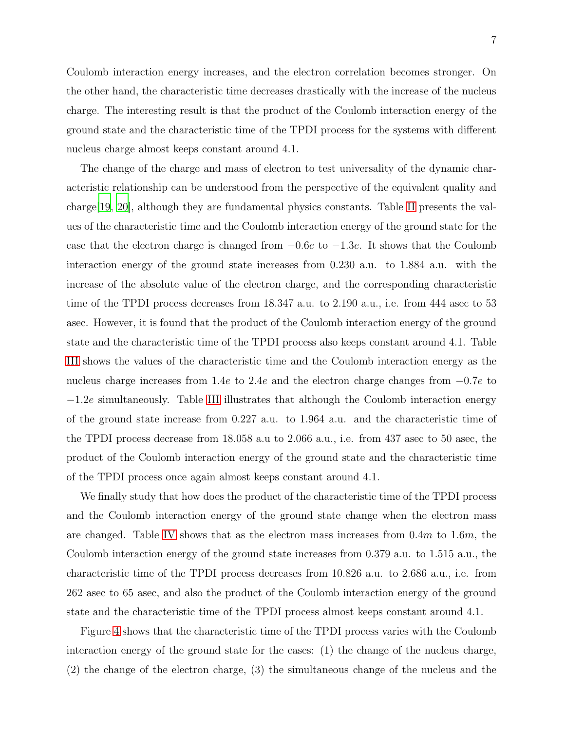Coulomb interaction energy increases, and the electron correlation becomes stronger. On the other hand, the characteristic time decreases drastically with the increase of the nucleus charge. The interesting result is that the product of the Coulomb interaction energy of the ground state and the characteristic time of the TPDI process for the systems with different nucleus charge almost keeps constant around 4.1.

The change of the charge and mass of electron to test universality of the dynamic characteristic relationship can be understood from the perspective of the equivalent quality and charge[\[19,](#page-8-9) [20\]](#page-8-10), although they are fundamental physics constants. Table [II](#page-9-1) presents the values of the characteristic time and the Coulomb interaction energy of the ground state for the case that the electron charge is changed from  $-0.6e$  to  $-1.3e$ . It shows that the Coulomb interaction energy of the ground state increases from 0.230 a.u. to 1.884 a.u. with the increase of the absolute value of the electron charge, and the corresponding characteristic time of the TPDI process decreases from 18.347 a.u. to 2.190 a.u., i.e. from 444 asec to 53 asec. However, it is found that the product of the Coulomb interaction energy of the ground state and the characteristic time of the TPDI process also keeps constant around 4.1. Table [III](#page-10-0) shows the values of the characteristic time and the Coulomb interaction energy as the nucleus charge increases from 1.4e to 2.4e and the electron charge changes from −0.7e to −1.2e simultaneously. Table [III](#page-10-0) illustrates that although the Coulomb interaction energy of the ground state increase from 0.227 a.u. to 1.964 a.u. and the characteristic time of the TPDI process decrease from 18.058 a.u to 2.066 a.u., i.e. from 437 asec to 50 asec, the product of the Coulomb interaction energy of the ground state and the characteristic time of the TPDI process once again almost keeps constant around 4.1.

We finally study that how does the product of the characteristic time of the TPDI process and the Coulomb interaction energy of the ground state change when the electron mass are changed. Table [IV](#page-10-1) shows that as the electron mass increases from  $0.4m$  to  $1.6m$ , the Coulomb interaction energy of the ground state increases from 0.379 a.u. to 1.515 a.u., the characteristic time of the TPDI process decreases from 10.826 a.u. to 2.686 a.u., i.e. from 262 asec to 65 asec, and also the product of the Coulomb interaction energy of the ground state and the characteristic time of the TPDI process almost keeps constant around 4.1.

Figure [4](#page-12-1) shows that the characteristic time of the TPDI process varies with the Coulomb interaction energy of the ground state for the cases: (1) the change of the nucleus charge, (2) the change of the electron charge, (3) the simultaneous change of the nucleus and the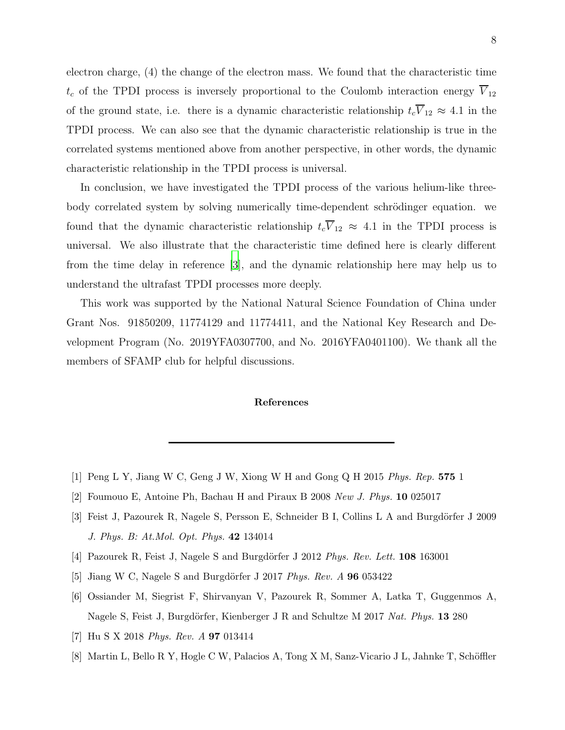electron charge, (4) the change of the electron mass. We found that the characteristic time  $t_c$  of the TPDI process is inversely proportional to the Coulomb interaction energy  $\overline{V}_{12}$ of the ground state, i.e. there is a dynamic characteristic relationship  $t_c\overline{V}_{12} \approx 4.1$  in the TPDI process. We can also see that the dynamic characteristic relationship is true in the correlated systems mentioned above from another perspective, in other words, the dynamic characteristic relationship in the TPDI process is universal.

In conclusion, we have investigated the TPDI process of the various helium-like threebody correlated system by solving numerically time-dependent schrödinger equation. we found that the dynamic characteristic relationship  $t_c\overline{V}_{12} \approx 4.1$  in the TPDI process is universal. We also illustrate that the characteristic time defined here is clearly different from the time delay in reference [\[3](#page-7-4)], and the dynamic relationship here may help us to understand the ultrafast TPDI processes more deeply.

This work was supported by the National Natural Science Foundation of China under Grant Nos. 91850209, 11774129 and 11774411, and the National Key Research and Development Program (No. 2019YFA0307700, and No. 2016YFA0401100). We thank all the members of SFAMP club for helpful discussions.

## References

- <span id="page-7-0"></span>[1] Peng L Y, Jiang W C, Geng J W, Xiong W H and Gong Q H 2015 Phys. Rep. 575 1
- [2] Foumouo E, Antoine Ph, Bachau H and Piraux B 2008 New J. Phys. 10 025017
- <span id="page-7-4"></span>[3] Feist J, Pazourek R, Nagele S, Persson E, Schneider B I, Collins L A and Burgdörfer J 2009 J. Phys. B: At.Mol. Opt. Phys. 42 134014
- [4] Pazourek R, Feist J, Nagele S and Burgdörfer J 2012 *Phys. Rev. Lett.* **108** 163001
- [5] Jiang W C, Nagele S and Burgdörfer J 2017 Phys. Rev.  $A$  96 053422
- <span id="page-7-1"></span>[6] Ossiander M, Siegrist F, Shirvanyan V, Pazourek R, Sommer A, Latka T, Guggenmos A, Nagele S, Feist J, Burgdörfer, Kienberger J R and Schultze M 2017 Nat. Phys. 13 280
- <span id="page-7-3"></span>[7] Hu S X 2018 Phys. Rev. A 97 013414
- <span id="page-7-2"></span>[8] Martin L, Bello R Y, Hogle C W, Palacios A, Tong X M, Sanz-Vicario J L, Jahnke T, Schöffler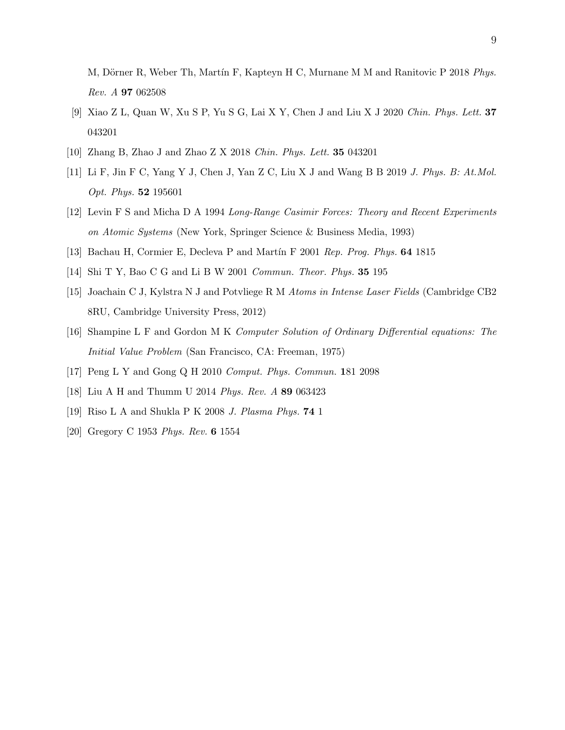M, Dörner R, Weber Th, Martín F, Kapteyn H C, Murnane M M and Ranitovic P 2018 Phys. Rev. A 97 062508

- [9] Xiao Z L, Quan W, Xu S P, Yu S G, Lai X Y, Chen J and Liu X J 2020 Chin. Phys. Lett. 37 043201
- <span id="page-8-1"></span><span id="page-8-0"></span>[10] Zhang B, Zhao J and Zhao Z X 2018 Chin. Phys. Lett. 35 043201
- [11] Li F, Jin F C, Yang Y J, Chen J, Yan Z C, Liu X J and Wang B B 2019 J. Phys. B: At.Mol. Opt. Phys. 52 195601
- <span id="page-8-2"></span>[12] Levin F S and Micha D A 1994 Long-Range Casimir Forces: Theory and Recent Experiments on Atomic Systems (New York, Springer Science & Business Media, 1993)
- <span id="page-8-4"></span><span id="page-8-3"></span>[13] Bachau H, Cormier E, Decleva P and Martín F 2001 Rep. Prog. Phys. 64 1815
- <span id="page-8-5"></span>[14] Shi T Y, Bao C G and Li B W 2001 Commun. Theor. Phys. 35 195
- [15] Joachain C J, Kylstra N J and Potvliege R M Atoms in Intense Laser Fields (Cambridge CB2 8RU, Cambridge University Press, 2012)
- <span id="page-8-6"></span>[16] Shampine L F and Gordon M K Computer Solution of Ordinary Differential equations: The Initial Value Problem (San Francisco, CA: Freeman, 1975)
- <span id="page-8-8"></span><span id="page-8-7"></span>[17] Peng L Y and Gong Q H 2010 Comput. Phys. Commun. 181 2098
- [18] Liu A H and Thumm U 2014 Phys. Rev. A 89 063423
- <span id="page-8-9"></span>[19] Riso L A and Shukla P K 2008 J. Plasma Phys. 74 1
- <span id="page-8-10"></span>[20] Gregory C 1953 Phys. Rev. 6 1554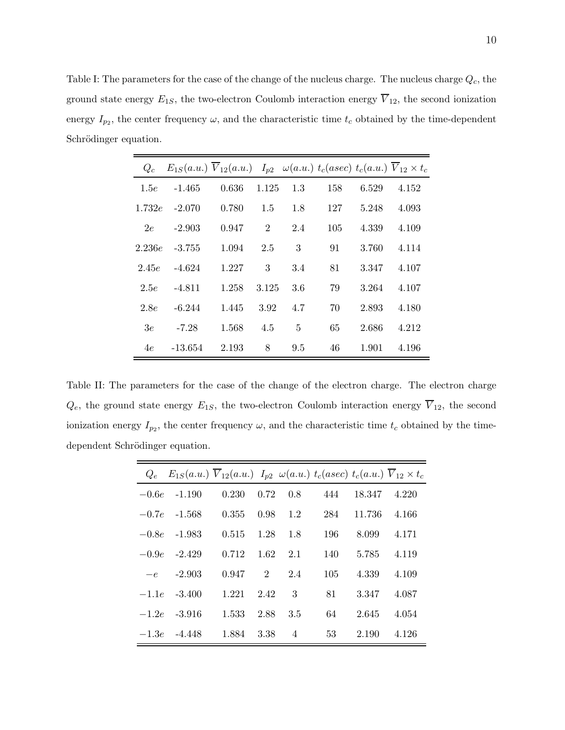<span id="page-9-0"></span>Table I: The parameters for the case of the change of the nucleus charge. The nucleus charge  $Q_c$ , the ground state energy  $E_{1S}$ , the two-electron Coulomb interaction energy  $\overline{V}_{12}$ , the second ionization energy  $I_{p_2}$ , the center frequency  $\omega$ , and the characteristic time  $t_c$  obtained by the time-dependent Schrödinger equation.

| $Q_c$  |           | $E_{1S}(a.u.) V_{12}(a.u.) I_{p2} \omega(a.u.) t_c(asec) t_c(a.u.) V_{12} \times t_c$ |                |     |     |       |       |
|--------|-----------|---------------------------------------------------------------------------------------|----------------|-----|-----|-------|-------|
| 1.5e   | $-1.465$  | 0.636                                                                                 | 1.125          | 1.3 | 158 | 6.529 | 4.152 |
| 1.732e | $-2.070$  | 0.780                                                                                 | 1.5            | 1.8 | 127 | 5.248 | 4.093 |
| 2e     | $-2.903$  | 0.947                                                                                 | $\overline{2}$ | 2.4 | 105 | 4.339 | 4.109 |
| 2.236e | $-3.755$  | 1.094                                                                                 | 2.5            | 3   | 91  | 3.760 | 4.114 |
| 2.45e  | $-4.624$  | 1.227                                                                                 | 3              | 3.4 | 81  | 3.347 | 4.107 |
| 2.5e   | $-4.811$  | 1.258                                                                                 | 3.125          | 3.6 | 79  | 3.264 | 4.107 |
| 2.8e   | $-6.244$  | 1.445                                                                                 | 3.92           | 4.7 | 70  | 2.893 | 4.180 |
| 3e     | $-7.28$   | 1.568                                                                                 | 4.5            | 5   | 65  | 2.686 | 4.212 |
| 4e     | $-13.654$ | 2.193                                                                                 | 8              | 9.5 | 46  | 1.901 | 4.196 |

<span id="page-9-1"></span>Table II: The parameters for the case of the change of the electron charge. The electron charge  $Q_e$ , the ground state energy  $E_{1S}$ , the two-electron Coulomb interaction energy  $\overline{V}_{12}$ , the second ionization energy  $I_{p_2}$ , the center frequency  $\omega$ , and the characteristic time  $t_c$  obtained by the timedependent Schrödinger equation.

|         | $Q_e$ $E_{1S}(a.u.) \ \overline{V}_{12}(a.u.) \ I_{p2} \ \omega(a.u.) \ t_c(asec) \ t_c(a.u.) \ \overline{V}_{12} \times t_c$ |       |                            |                |     |        |       |
|---------|-------------------------------------------------------------------------------------------------------------------------------|-------|----------------------------|----------------|-----|--------|-------|
| $-0.6e$ | $-1.190$                                                                                                                      | 0.230 | 0.72                       | 0.8            | 444 | 18.347 | 4.220 |
|         | $-0.7e$ $-1.568$                                                                                                              | 0.355 | 0.98                       | 1.2            | 284 | 11.736 | 4.166 |
| $-0.8e$ | $-1.983$                                                                                                                      | 0.515 | 1.28                       | 1.8            | 196 | 8.099  | 4.171 |
|         | $-0.9e -2.429$                                                                                                                | 0.712 | - 1.62                     | 2.1            | 140 | 5.785  | 4.119 |
|         | $-e$ $-2.903$                                                                                                                 | 0.947 | $\overline{\phantom{a}}$ 2 | 2.4            | 105 | 4.339  | 4.109 |
|         | $-1.1e -3.400$                                                                                                                | 1.221 | 2.42                       | 3              | 81  | 3.347  | 4.087 |
|         | $-1.2e -3.916$                                                                                                                | 1.533 | 2.88                       | 3.5            | 64  | 2.645  | 4.054 |
| $-1.3e$ | -4.448                                                                                                                        | 1.884 | 3.38                       | $\overline{4}$ | 53  | 2.190  | 4.126 |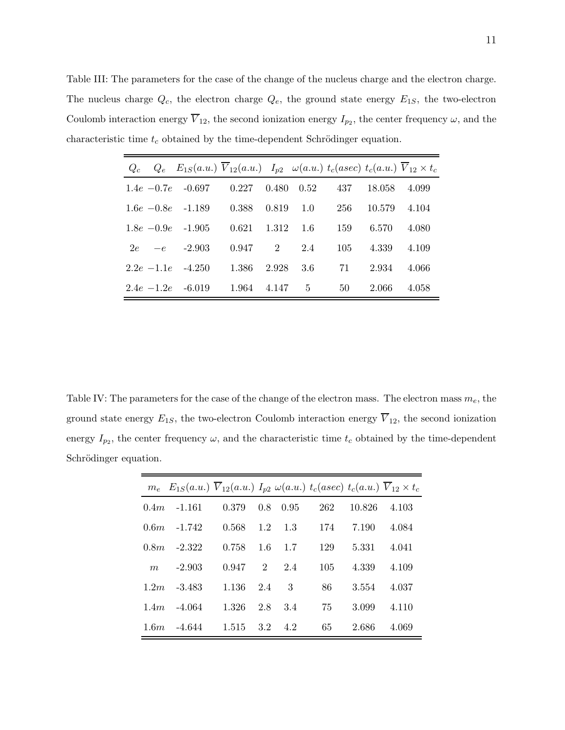<span id="page-10-0"></span>Table III: The parameters for the case of the change of the nucleus charge and the electron charge. The nucleus charge  $Q_c$ , the electron charge  $Q_e$ , the ground state energy  $E_{1S}$ , the two-electron Coulomb interaction energy  $V_{12}$ , the second ionization energy  $I_{p_2}$ , the center frequency  $\omega$ , and the characteristic time  $t_c$  obtained by the time-dependent Schrödinger equation.

|    | $Q_c$ $Q_e$ $E_{1S}(a.u.)$ $V_{12}(a.u.)$ $I_{p2}$ $\omega(a.u.)$ $t_c(asec)$ $t_c(a.u.)$ $\overline{V}_{12} \times t_c$ |                        |           |             |     |        |       |
|----|--------------------------------------------------------------------------------------------------------------------------|------------------------|-----------|-------------|-----|--------|-------|
|    | $1.4e$ -0.7e -0.697                                                                                                      | $0.227$ $0.480$ $0.52$ |           |             | 437 | 18.058 | 4.099 |
|    | $1.6e - 0.8e - 1.189$                                                                                                    | 0.388                  | 0.819     | 1.0         | 256 | 10.579 | 4.104 |
|    | $1.8e - 0.9e - 1.905$                                                                                                    | 0.621                  | 1.312 1.6 |             | 159 | 6.570  | 4.080 |
| 2e | $-e$ $-2.903$                                                                                                            | 0.947                  | 2         | 2.4         | 105 | 4.339  | 4.109 |
|    | $2.2e$ -1.1e -4.250                                                                                                      | 1.386                  | 2.928     | 3.6         | 71  | 2.934  | 4.066 |
|    | $2.4e$ -1.2e -6.019                                                                                                      | 1.964                  | 4.147     | $5^{\circ}$ | 50  | 2.066  | 4.058 |

<span id="page-10-1"></span>Table IV: The parameters for the case of the change of the electron mass. The electron mass  $m_e$ , the ground state energy  $E_{1S}$ , the two-electron Coulomb interaction energy  $\overline{V}_{12}$ , the second ionization energy  $I_{p_2}$ , the center frequency  $\omega$ , and the characteristic time  $t_c$  obtained by the time-dependent Schrödinger equation.

|      | $m_e$ $E_{1S}(a.u.)$ $V_{12}(a.u.)$ $I_{p2} \omega(a.u.)$ $t_c(asec)$ $t_c(a.u.)$ $V_{12} \times t_c$ |       |     |      |     |        |       |
|------|-------------------------------------------------------------------------------------------------------|-------|-----|------|-----|--------|-------|
| 0.4m | -1.161                                                                                                | 0.379 | 0.8 | 0.95 | 262 | 10.826 | 4.103 |
| 0.6m | -1.742                                                                                                | 0.568 | 1.2 | 1.3  | 174 | 7.190  | 4.084 |
| 0.8m | $-2.322$                                                                                              | 0.758 | 1.6 | 1.7  | 129 | 5.331  | 4.041 |
| m    | $-2.903$                                                                                              | 0.947 | 2   | 2.4  | 105 | 4.339  | 4.109 |
| 1.2m | -3.483                                                                                                | 1.136 | 2.4 | 3    | 86  | 3.554  | 4.037 |
| 1.4m | -4.064                                                                                                | 1.326 | 2.8 | 3.4  | 75  | 3.099  | 4.110 |
| 1.6m | $-4.644$                                                                                              | 1.515 | 3.2 | 4.2  | 65  | 2.686  | 4.069 |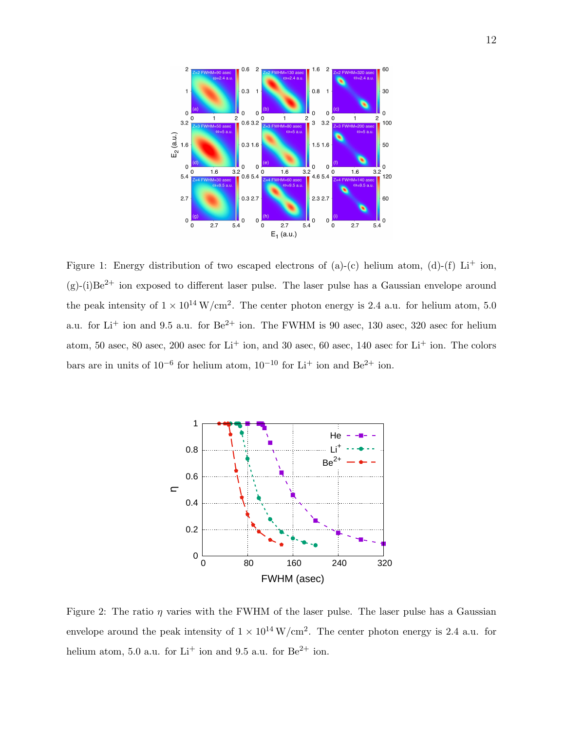

<span id="page-11-0"></span>Figure 1: Energy distribution of two escaped electrons of (a)-(c) helium atom, (d)-(f) Li<sup>+</sup> ion,  $(g)-(i)Be<sup>2+</sup>$  ion exposed to different laser pulse. The laser pulse has a Gaussian envelope around the peak intensity of  $1 \times 10^{14} \,\mathrm{W/cm^2}$ . The center photon energy is 2.4 a.u. for helium atom, 5.0 a.u. for  $Li^+$  ion and 9.5 a.u. for  $Be^{2+}$  ion. The FWHM is 90 asec, 130 asec, 320 asec for helium atom, 50 asec, 80 asec, 200 asec for  $Li<sup>+</sup>$  ion, and 30 asec, 60 asec, 140 asec for  $Li<sup>+</sup>$  ion. The colors bars are in units of  $10^{-6}$  for helium atom,  $10^{-10}$  for Li<sup>+</sup> ion and Be<sup>2+</sup> ion.



<span id="page-11-1"></span>Figure 2: The ratio  $\eta$  varies with the FWHM of the laser pulse. The laser pulse has a Gaussian envelope around the peak intensity of  $1 \times 10^{14} \,\mathrm{W/cm^2}$ . The center photon energy is 2.4 a.u. for helium atom, 5.0 a.u. for  $Li^+$  ion and 9.5 a.u. for  $Be^{2+}$  ion.